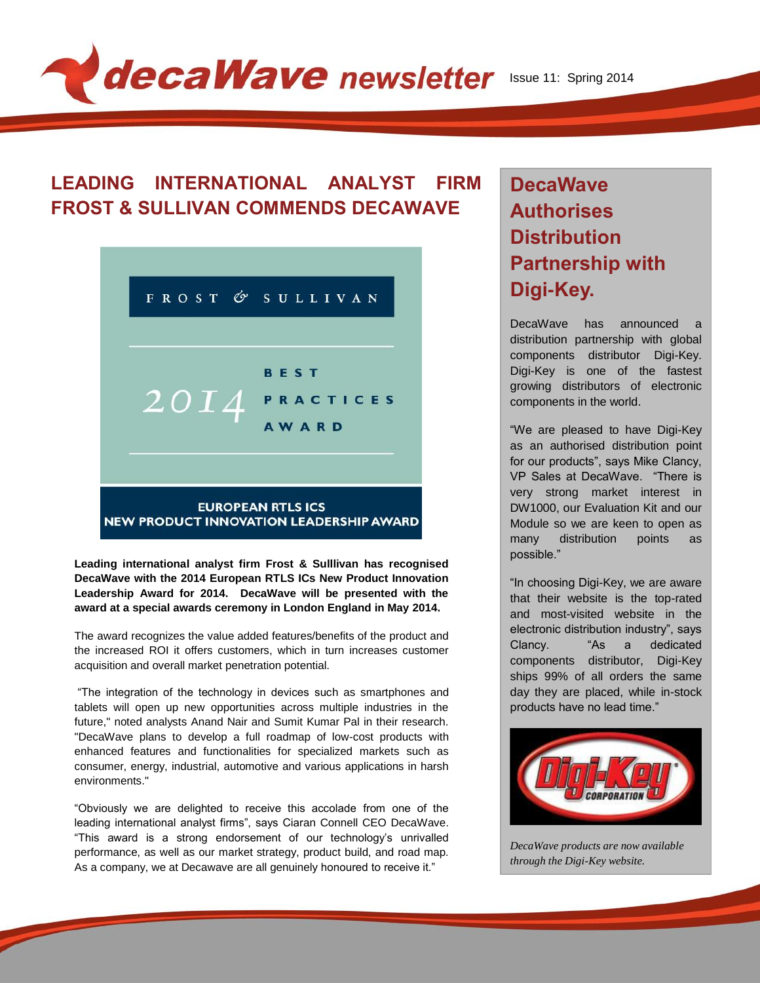# decaWave newsletter Issue 11: Spring 2014

#### **LEADING INTERNATIONAL ANALYST FIRM FROST & SULLIVAN COMMENDS DECAWAVE**



**Leading international analyst firm Frost & Sulllivan has recognised DecaWave with the 2014 European RTLS ICs New Product Innovation Leadership Award for 2014. DecaWave will be presented with the award at a special awards ceremony in London England in May 2014.**

The award recognizes the value added features/benefits of the product and the increased ROI it offers customers, which in turn increases customer acquisition and overall market penetration potential.

"The integration of the technology in devices such as smartphones and tablets will open up new opportunities across multiple industries in the future," noted analysts Anand Nair and Sumit Kumar Pal in their research. "DecaWave plans to develop a full roadmap of low-cost products with enhanced features and functionalities for specialized markets such as consumer, energy, industrial, automotive and various applications in harsh environments."

"Obviously we are delighted to receive this accolade from one of the leading international analyst firms", says Ciaran Connell CEO DecaWave. "This award is a strong endorsement of our technology's unrivalled performance, as well as our market strategy, product build, and road map. As a company, we at Decawave are all genuinely honoured to receive it."

## **DecaWave Authorises Distribution Partnership with Digi-Key.**

DecaWave has announced distribution partnership with global components distributor Digi-Key. Digi-Key is one of the fastest growing distributors of electronic components in the world.

"We are pleased to have Digi-Key as an authorised distribution point for our products", says Mike Clancy, VP Sales at DecaWave. "There is very strong market interest in DW1000, our Evaluation Kit and our Module so we are keen to open as many distribution points as possible."

"In choosing Digi-Key, we are aware that their website is the top-rated and most-visited website in the electronic distribution industry", says Clancy. "As a dedicated components distributor, Digi-Key ships 99% of all orders the same day they are placed, while in-stock products have no lead time."



*DecaWave products are now available through the Digi-Key website.*